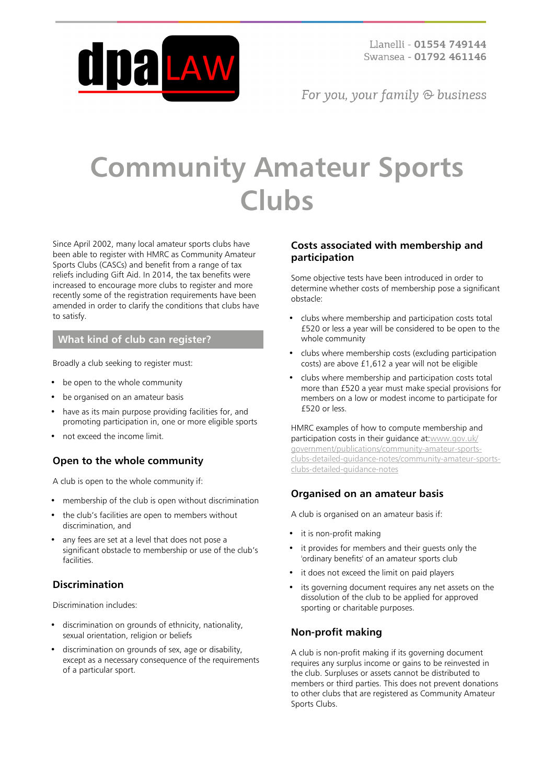

For you, your family  $\odot$  business

# **Community Amateur Sports Clubs**

Since April 2002, many local amateur sports clubs have been able to register with HMRC as Community Amateur Sports Clubs (CASCs) and benefit from a range of tax reliefs including Gift Aid. In 2014, the tax benefits were increased to encourage more clubs to register and more recently some of the registration requirements have been amended in order to clarify the conditions that clubs have to satisfy.

## **What kind of club can register?**

Broadly a club seeking to register must:

- be open to the whole community
- be organised on an amateur basis
- have as its main purpose providing facilities for, and promoting participation in, one or more eligible sports
- not exceed the income limit.

# **Open to the whole community**

A club is open to the whole community if:

- membership of the club is open without discrimination
- the club's facilities are open to members without discrimination, and
- any fees are set at a level that does not pose a significant obstacle to membership or use of the club's facilities.

## **Discrimination**

Discrimination includes:

- discrimination on grounds of ethnicity, nationality, sexual orientation, religion or beliefs
- discrimination on grounds of sex, age or disability, except as a necessary consequence of the requirements of a particular sport.

#### **Costs associated with membership and participation**

Some objective tests have been introduced in order to determine whether costs of membership pose a significant obstacle:

- clubs where membership and participation costs total £520 or less a year will be considered to be open to the whole community
- clubs where membership costs (excluding participation costs) are above £1,612 a year will not be eligible
- clubs where membership and participation costs total more than £520 a year must make special provisions for members on a low or modest income to participate for £520 or less.

HMRC examples of how to compute membership and participation costs in their guidance at[:www.gov.uk/](https://www.gov.uk/government/publications/community-amateur-sports-clubs-detailed-guidance-notes/community-amateur-sports-clubs-detailed-guidance-notes) [government/publications/community-amateur-sports](https://www.gov.uk/government/publications/community-amateur-sports-clubs-detailed-guidance-notes/community-amateur-sports-clubs-detailed-guidance-notes)[clubs-detailed-guidance-notes/community-amateur-sports](https://www.gov.uk/government/publications/community-amateur-sports-clubs-detailed-guidance-notes/community-amateur-sports-clubs-detailed-guidance-notes)[clubs-detailed-guidance-notes](https://www.gov.uk/government/publications/community-amateur-sports-clubs-detailed-guidance-notes/community-amateur-sports-clubs-detailed-guidance-notes)

## **Organised on an amateur basis**

A club is organised on an amateur basis if:

- it is non-profit making
- it provides for members and their quests only the 'ordinary benefits' of an amateur sports club
- it does not exceed the limit on paid players
- its governing document requires any net assets on the dissolution of the club to be applied for approved sporting or charitable purposes.

## **Non-profit making**

A club is non-profit making if its governing document requires any surplus income or gains to be reinvested in the club. Surpluses or assets cannot be distributed to members or third parties. This does not prevent donations to other clubs that are registered as Community Amateur Sports Clubs.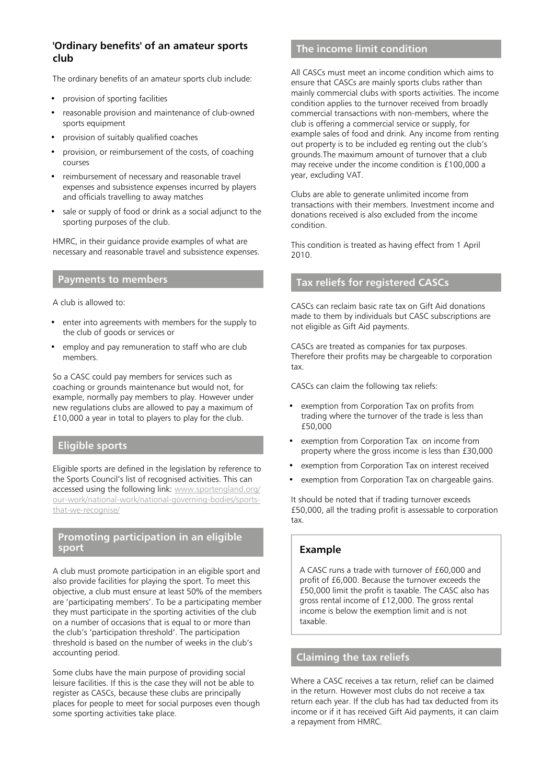# **'Ordinary benefits' of an amateur sports club**

The ordinary benefits of an amateur sports club include:

- provision of sporting facilities
- reasonable provision and maintenance of club-owned sports equipment
- provision of suitably qualified coaches
- provision, or reimbursement of the costs, of coaching courses
- reimbursement of necessary and reasonable travel expenses and subsistence expenses incurred by players and officials travelling to away matches
- sale or supply of food or drink as a social adjunct to the sporting purposes of the club.

HMRC, in their guidance provide examples of what are necessary and reasonable travel and subsistence expenses.

#### **Payments to members**

A club is allowed to:

- enter into agreements with members for the supply to the club of goods or services or
- employ and pay remuneration to staff who are club members.

So a CASC could pay members for services such as coaching or grounds maintenance but would not, for example, normally pay members to play. However under new regulations clubs are allowed to pay a maximum of £10,000 a year in total to players to play for the club.

#### **Eligible sports**

Eligible sports are defined in the legislation by reference to the Sports Council's list of recognised activities. This can accessed using the following link: [www.sportengland.org/](http://www.sportengland.org/our-work/national-work/national-governing-bodies/sports-that-we-recognise/) [our-work/national-work/national-governing-bodies/sports](http://www.sportengland.org/our-work/national-work/national-governing-bodies/sports-that-we-recognise/)[that-we-recognise/](http://www.sportengland.org/our-work/national-work/national-governing-bodies/sports-that-we-recognise/)

#### **Promoting participation in an eligible sport**

A club must promote participation in an eligible sport and also provide facilities for playing the sport. To meet this objective, a club must ensure at least 50% of the members are 'participating members'. To be a participating member they must participate in the sporting activities of the club on a number of occasions that is equal to or more than the club's 'participation threshold'. The participation threshold is based on the number of weeks in the club's accounting period.

Some clubs have the main purpose of providing social leisure facilities. If this is the case they will not be able to register as CASCs, because these clubs are principally places for people to meet for social purposes even though some sporting activities take place.

# **The income limit condition**

All CASCs must meet an income condition which aims to ensure that CASCs are mainly sports clubs rather than mainly commercial clubs with sports activities. The income condition applies to the turnover received from broadly commercial transactions with non-members, where the club is offering a commercial service or supply, for example sales of food and drink. Any income from renting out property is to be included eg renting out the club's grounds.The maximum amount of turnover that a club may receive under the income condition is £100,000 a year, excluding VAT.

Clubs are able to generate unlimited income from transactions with their members. Investment income and donations received is also excluded from the income condition.

This condition is treated as having effect from 1 April 2010.

# **Tax reliefs for registered CASCs**

CASCs can reclaim basic rate tax on Gift Aid donations made to them by individuals but CASC subscriptions are not eligible as Gift Aid payments.

CASCs are treated as companies for tax purposes. Therefore their profits may be chargeable to corporation tax.

CASCs can claim the following tax reliefs:

- exemption from Corporation Tax on profits from trading where the turnover of the trade is less than £50,000
- exemption from Corporation Tax on income from property where the gross income is less than £30,000
- exemption from Corporation Tax on interest received
- exemption from Corporation Tax on chargeable gains.

It should be noted that if trading turnover exceeds £50,000, all the trading profit is assessable to corporation tax.

## **Example**

A CASC runs a trade with turnover of £60,000 and profit of £6,000. Because the turnover exceeds the £50,000 limit the profit is taxable. The CASC also has gross rental income of £12,000. The gross rental income is below the exemption limit and is not taxable.

# **Claiming the tax reliefs**

Where a CASC receives a tax return, relief can be claimed in the return. However most clubs do not receive a tax return each year. If the club has had tax deducted from its income or if it has received Gift Aid payments, it can claim a repayment from HMRC.